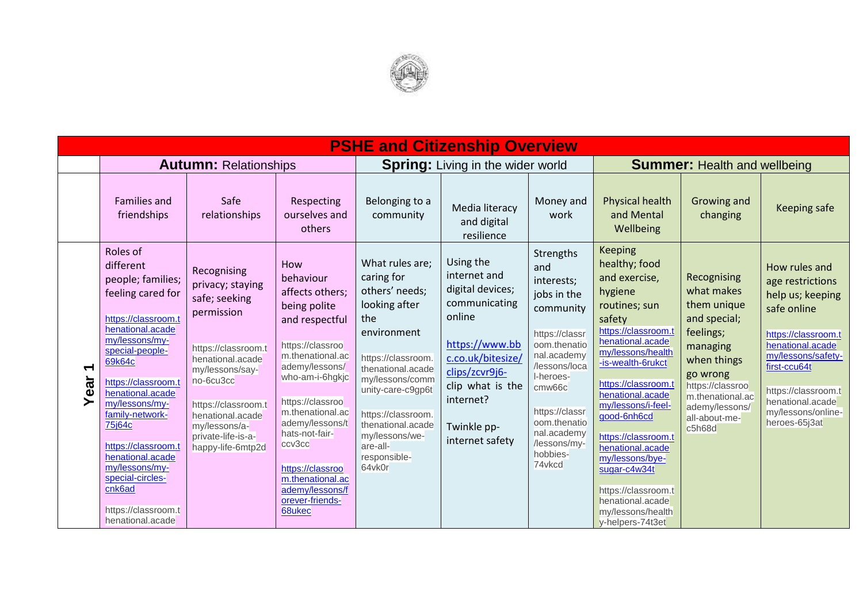

|               | <b>PSHE and Citizenship Overview</b>                                                                                                                                                                                                                                                                                                                                                                  |                                                                                                                                                                                                                                                  |                                                                                                                                                                                                                                                                                                                                   |                                                                                                                                                                                                                                                                              |                                                                                                                                                                                                      |                                                                                                                                                                                                                                            |                                                                                                                                                                                                                                                                                                                                                                                                                               |                                                                                                                                                                                                   |                                                                                                                                                                                                                                         |  |  |  |
|---------------|-------------------------------------------------------------------------------------------------------------------------------------------------------------------------------------------------------------------------------------------------------------------------------------------------------------------------------------------------------------------------------------------------------|--------------------------------------------------------------------------------------------------------------------------------------------------------------------------------------------------------------------------------------------------|-----------------------------------------------------------------------------------------------------------------------------------------------------------------------------------------------------------------------------------------------------------------------------------------------------------------------------------|------------------------------------------------------------------------------------------------------------------------------------------------------------------------------------------------------------------------------------------------------------------------------|------------------------------------------------------------------------------------------------------------------------------------------------------------------------------------------------------|--------------------------------------------------------------------------------------------------------------------------------------------------------------------------------------------------------------------------------------------|-------------------------------------------------------------------------------------------------------------------------------------------------------------------------------------------------------------------------------------------------------------------------------------------------------------------------------------------------------------------------------------------------------------------------------|---------------------------------------------------------------------------------------------------------------------------------------------------------------------------------------------------|-----------------------------------------------------------------------------------------------------------------------------------------------------------------------------------------------------------------------------------------|--|--|--|
|               |                                                                                                                                                                                                                                                                                                                                                                                                       | <b>Autumn: Relationships</b>                                                                                                                                                                                                                     |                                                                                                                                                                                                                                                                                                                                   |                                                                                                                                                                                                                                                                              | <b>Spring:</b> Living in the wider world                                                                                                                                                             |                                                                                                                                                                                                                                            | <b>Summer: Health and wellbeing</b>                                                                                                                                                                                                                                                                                                                                                                                           |                                                                                                                                                                                                   |                                                                                                                                                                                                                                         |  |  |  |
|               | <b>Families and</b><br>friendships                                                                                                                                                                                                                                                                                                                                                                    | Safe<br>relationships                                                                                                                                                                                                                            | Respecting<br>ourselves and<br>others                                                                                                                                                                                                                                                                                             | Belonging to a<br>community                                                                                                                                                                                                                                                  | Media literacy<br>and digital<br>resilience                                                                                                                                                          | Money and<br>work                                                                                                                                                                                                                          | <b>Physical health</b><br>and Mental<br>Wellbeing                                                                                                                                                                                                                                                                                                                                                                             | Growing and<br>changing                                                                                                                                                                           | <b>Keeping safe</b>                                                                                                                                                                                                                     |  |  |  |
| ↽<br>ear<br>≻ | Roles of<br>different<br>people; families;<br>feeling cared for<br>https://classroom.t<br>henational.acade<br>my/lessons/my-<br>special-people-<br>69k64c<br>https://classroom.t<br>henational.acade<br>my/lessons/my-<br>family-network-<br>75 <sub>j64c</sub><br>https://classroom.t<br>henational.acade<br>my/lessons/my-<br>special-circles-<br>cnk6ad<br>https://classroom.t<br>henational.acade | Recognising<br>privacy; staying<br>safe; seeking<br>permission<br>https://classroom.t<br>henational.acade<br>my/lessons/say-<br>no-6cu3cc<br>https://classroom.t<br>henational.acade<br>my/lessons/a-<br>private-life-is-a-<br>happy-life-6mtp2d | How<br>behaviour<br>affects others;<br>being polite<br>and respectful<br>https://classroo<br>m.thenational.ac<br>ademy/lessons/<br>who-am-i-6hgkjc<br>https://classroo<br>m.thenational.ac<br>ademy/lessons/t<br>hats-not-fair-<br>ccv3cc<br>https://classroo<br>m.thenational.ac<br>ademy/lessons/f<br>orever-friends-<br>68ukec | What rules are:<br>caring for<br>others' needs;<br>looking after<br>the<br>environment<br>https://classroom.<br>thenational.acade<br>my/lessons/comm<br>unity-care-c9gp6t<br>https://classroom.<br>thenational.acade<br>my/lessons/we-<br>are-all-<br>responsible-<br>64vk0r | Using the<br>internet and<br>digital devices;<br>communicating<br>online<br>https://www.bb<br>c.co.uk/bitesize/<br>clips/zcvr9j6-<br>clip what is the<br>internet?<br>Twinkle pp-<br>internet safety | Strengths<br>and<br>interests;<br>jobs in the<br>community<br>https://classr<br>oom.thenatio<br>nal.academy<br>/lessons/loca<br>I-heroes-<br>cmw66c<br>https://classr<br>oom.thenatio<br>nal.academy<br>/lessons/my-<br>hobbies-<br>74vkcd | <b>Keeping</b><br>healthy; food<br>and exercise,<br>hygiene<br>routines; sun<br>safety<br>https://classroom.t<br>henational.acade<br>my/lessons/health<br>-is-wealth-6rukct<br>https://classroom.t<br>henational.acade<br>my/lessons/i-feel-<br>good-6nh6cd<br>https://classroom.t<br>henational.acade<br>my/lessons/bye-<br>sugar-c4w34t<br>https://classroom.t<br>henational.acade<br>my/lessons/health<br>v-helpers-74t3et | Recognising<br>what makes<br>them unique<br>and special;<br>feelings;<br>managing<br>when things<br>go wrong<br>https://classroo<br>m.thenational.ac<br>ademy/lessons/<br>all-about-me-<br>c5h68d | How rules and<br>age restrictions<br>help us; keeping<br>safe online<br>https://classroom.t<br>henational.acade<br>my/lessons/safety-<br>first-ccu64t<br>https://classroom.t<br>henational.acade<br>my/lessons/online-<br>heroes-65j3at |  |  |  |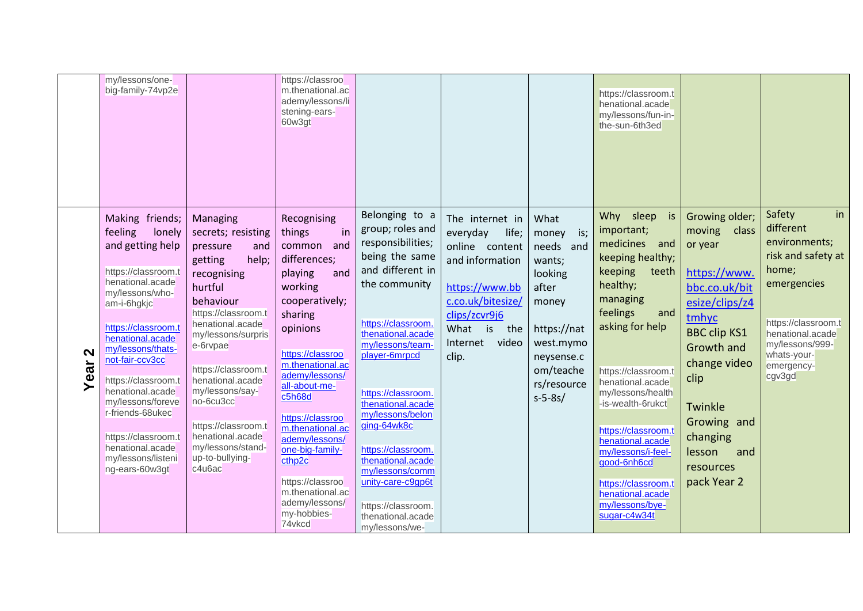|                           | my/lessons/one-<br>big-family-74vp2e                                                                                                                                                                                                                                                                                                                                                            |                                                                                                                                                                                                                                                                                                                                                                   | https://classroo<br>m.thenational.ac<br>ademy/lessons/li<br>stening-ears-<br>60w3gt                                                                                                                                                                                                                                                                                                               |                                                                                                                                                                                                                                                                                                                                                                                                                              |                                                                                                                                                                             |                                                                                                                                                             | https://classroom.t<br>henational.acade<br>my/lessons/fun-in-<br>the-sun-6th3ed                                                                                                                                                                                                                                                                                                                            |                                                                                                                                                                                                                                                          |                                                                                                                                                                                               |
|---------------------------|-------------------------------------------------------------------------------------------------------------------------------------------------------------------------------------------------------------------------------------------------------------------------------------------------------------------------------------------------------------------------------------------------|-------------------------------------------------------------------------------------------------------------------------------------------------------------------------------------------------------------------------------------------------------------------------------------------------------------------------------------------------------------------|---------------------------------------------------------------------------------------------------------------------------------------------------------------------------------------------------------------------------------------------------------------------------------------------------------------------------------------------------------------------------------------------------|------------------------------------------------------------------------------------------------------------------------------------------------------------------------------------------------------------------------------------------------------------------------------------------------------------------------------------------------------------------------------------------------------------------------------|-----------------------------------------------------------------------------------------------------------------------------------------------------------------------------|-------------------------------------------------------------------------------------------------------------------------------------------------------------|------------------------------------------------------------------------------------------------------------------------------------------------------------------------------------------------------------------------------------------------------------------------------------------------------------------------------------------------------------------------------------------------------------|----------------------------------------------------------------------------------------------------------------------------------------------------------------------------------------------------------------------------------------------------------|-----------------------------------------------------------------------------------------------------------------------------------------------------------------------------------------------|
| $\mathbf{\Omega}$<br>Year | Making friends;<br>feeling<br>lonely<br>and getting help<br>https://classroom.t<br>henational.acade<br>my/lessons/who-<br>am-i-6hgkjc<br>https://classroom.t<br>henational.acade<br>my/lessons/thats-<br>not-fair-ccv3cc<br>https://classroom.t<br>henational.acade<br>my/lessons/foreve<br>r-friends-68ukec<br>https://classroom.t<br>henational.acade<br>my/lessons/listeni<br>ng-ears-60w3gt | Managing<br>secrets; resisting<br>pressure<br>and<br>help;<br>getting<br>recognising<br>hurtful<br>behaviour<br>https://classroom.t<br>henational.acade<br>my/lessons/surpris<br>e-6rvpae<br>https://classroom.t<br>henational.acade<br>my/lessons/say-<br>no-6cu3cc<br>https://classroom.t<br>henational.acade<br>my/lessons/stand-<br>up-to-bullying-<br>c4u6ac | Recognising<br>in<br>things<br>common<br>and<br>differences;<br>and<br>playing<br>working<br>cooperatively;<br>sharing<br>opinions<br>https://classroo<br>m.thenational.ac<br>ademy/lessons/<br>all-about-me-<br>c5h68d<br>https://classroo<br>m.thenational.ac<br>ademy/lessons/<br>one-big-family-<br>cthp2c<br>https://classroo<br>m.thenational.ac<br>ademy/lessons/<br>my-hobbies-<br>74vkcd | Belonging to a<br>group; roles and<br>responsibilities;<br>being the same<br>and different in<br>the community<br>https://classroom.<br>thenational.acade<br>my/lessons/team-<br>player-6mrpcd<br>https://classroom.<br>thenational.acade<br>my/lessons/belon<br>ging-64wk8c<br>https://classroom.<br>thenational.acade<br>my/lessons/comm<br>unity-care-c9gp6t<br>https://classroom.<br>thenational.acade<br>my/lessons/we- | The internet in<br>everyday<br>life;<br>online content<br>and information<br>https://www.bb<br>c.co.uk/bitesize/<br>clips/zcvr9j6<br>What is the<br>Internet video<br>clip. | What<br>money<br>is;<br>needs and<br>wants;<br>looking<br>after<br>money<br>https://nat<br>west.mymo<br>neysense.c<br>om/teache<br>rs/resource<br>$s-5-8s/$ | Why sleep<br>is<br>important;<br>medicines<br>and<br>keeping healthy;<br>keeping<br>teeth<br>healthy;<br>managing<br>feelings<br>and<br>asking for help<br>https://classroom.t<br>henational.acade<br>my/lessons/health<br>-is-wealth-6rukct<br>https://classroom.t<br>henational.acade<br>my/lessons/i-feel-<br>good-6nh6cd<br>https://classroom.t<br>henational.acade<br>my/lessons/bye-<br>sugar-c4w34t | Growing older;<br>moving<br>class<br>or year<br>https://www.<br>bbc.co.uk/bit<br>esize/clips/z4<br>tmhyc<br><b>BBC clip KS1</b><br>Growth and<br>change video<br>clip<br>Twinkle<br>Growing and<br>changing<br>lesson<br>and<br>resources<br>pack Year 2 | in<br>Safety<br>different<br>environments;<br>risk and safety at<br>home;<br>emergencies<br>https://classroom.t<br>henational.acade<br>my/lessons/999-<br>whats-your-<br>emergency-<br>cgv3gd |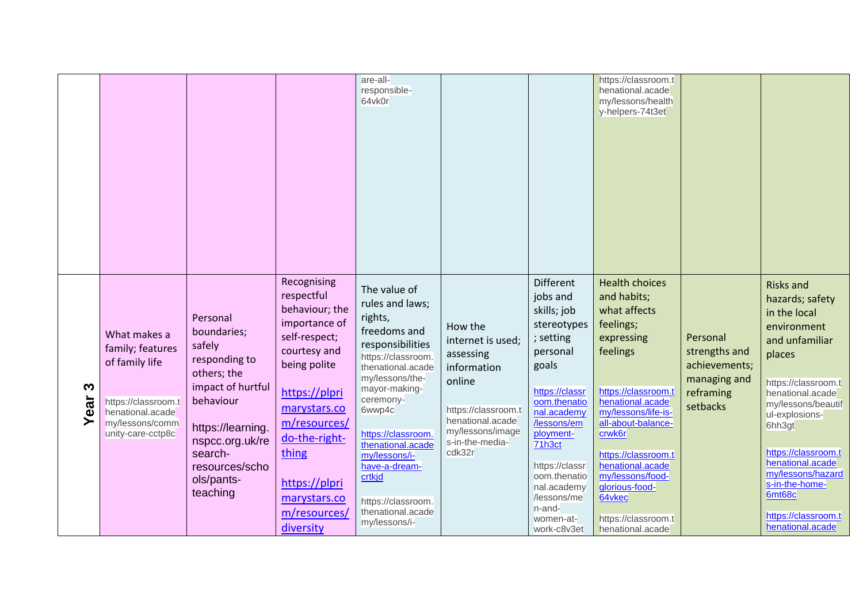|               |                                                                                                                                       |                                                                                                                                                                                                    |                                                                                                                                                                                                                                                        | are-all-<br>responsible-<br>64vk0r                                                                                                                                                                                                                                                                                                      |                                                                                                                                                                |                                                                                                                                                                                                                                                                                    | https://classroom.t<br>henational.acade<br>my/lessons/health<br>y-helpers-74t3et                                                                                                                                                                                                                                                    |                                                                                     |                                                                                                                                                                                                                                                                                                                                    |
|---------------|---------------------------------------------------------------------------------------------------------------------------------------|----------------------------------------------------------------------------------------------------------------------------------------------------------------------------------------------------|--------------------------------------------------------------------------------------------------------------------------------------------------------------------------------------------------------------------------------------------------------|-----------------------------------------------------------------------------------------------------------------------------------------------------------------------------------------------------------------------------------------------------------------------------------------------------------------------------------------|----------------------------------------------------------------------------------------------------------------------------------------------------------------|------------------------------------------------------------------------------------------------------------------------------------------------------------------------------------------------------------------------------------------------------------------------------------|-------------------------------------------------------------------------------------------------------------------------------------------------------------------------------------------------------------------------------------------------------------------------------------------------------------------------------------|-------------------------------------------------------------------------------------|------------------------------------------------------------------------------------------------------------------------------------------------------------------------------------------------------------------------------------------------------------------------------------------------------------------------------------|
| S<br>ear<br>≻ | What makes a<br>family; features<br>of family life<br>https://classroom.t<br>henational.acade<br>my/lessons/comm<br>unity-care-cctp8c | Personal<br>boundaries;<br>safely<br>responding to<br>others; the<br>impact of hurtful<br>behaviour<br>https://learning.<br>nspcc.org.uk/re<br>search-<br>resources/scho<br>ols/pants-<br>teaching | Recognising<br>respectful<br>behaviour; the<br>importance of<br>self-respect;<br>courtesy and<br>being polite<br>https://plpri<br>marystars.co<br>m/resources/<br>do-the-right-<br>thing<br>https://plpri<br>marystars.co<br>m/resources/<br>diversity | The value of<br>rules and laws;<br>rights,<br>freedoms and<br>responsibilities<br>https://classroom.<br>thenational.acade<br>my/lessons/the-<br>mayor-making-<br>ceremony-<br>6wwp4c<br>https://classroom.<br>thenational.acade<br>my/lessons/i-<br>have-a-dream-<br>crtkjd<br>https://classroom.<br>thenational.acade<br>my/lessons/i- | How the<br>internet is used;<br>assessing<br>information<br>online<br>https://classroom.t<br>henational.acade<br>my/lessons/image<br>s-in-the-media-<br>cdk32r | Different<br>jobs and<br>skills; job<br>stereotypes<br>; setting<br>personal<br>goals<br>https://classr<br>oom.thenatio<br>nal.academy<br>/lessons/em<br>ployment-<br>71h3ct<br>https://classr<br>oom.thenatio<br>nal.academy<br>/lessons/me<br>n-and-<br>women-at-<br>work-c8v3et | <b>Health choices</b><br>and habits;<br>what affects<br>feelings;<br>expressing<br>feelings<br>https://classroom.t<br>henational.acade<br>my/lessons/life-is-<br>all-about-balance-<br>crwk6r<br>https://classroom.t<br>henational.acade<br>my/lessons/food-<br>glorious-food-<br>64vkec<br>https://classroom.t<br>henational.acade | Personal<br>strengths and<br>achievements;<br>managing and<br>reframing<br>setbacks | <b>Risks and</b><br>hazards; safety<br>in the local<br>environment<br>and unfamiliar<br>places<br>https://classroom.t<br>henational.acade<br>my/lessons/beautif<br>ul-explosions-<br>6hh3gt<br>https://classroom.t<br>henational.acade<br>my/lessons/hazard<br>s-in-the-home-<br>6mt68c<br>https://classroom.t<br>henational.acade |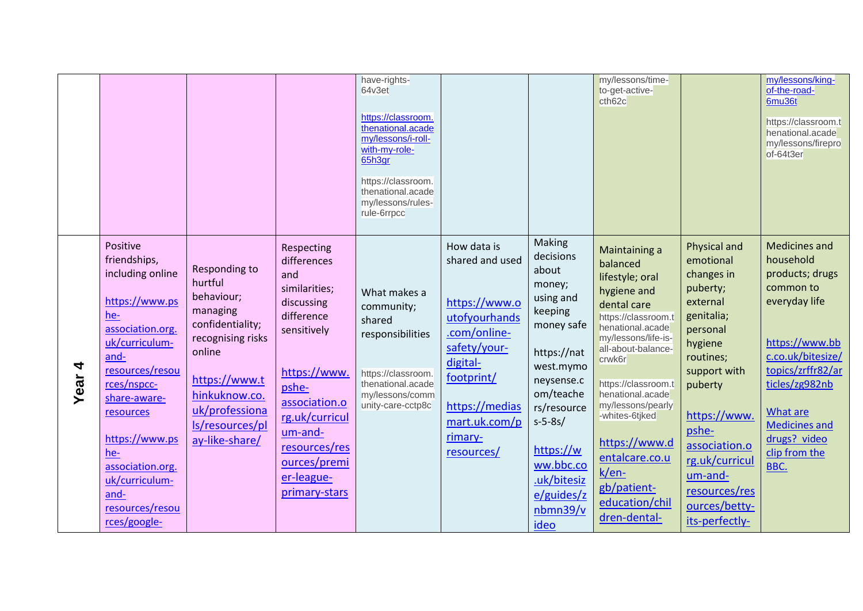|                  |                                                                                                                                                                                                                                                                                              |                                                                                                                                                                                                |                                                                                                                                                                                                                                     | have-rights-<br>64v3et<br>https://classroom.<br>thenational.acade<br>my/lessons/i-roll-<br>with-my-role-<br>65h3gr<br>https://classroom.<br>thenational.acade<br>my/lessons/rules-<br>rule-6rrpcc |                                                                                                                                                                                        |                                                                                                                                                                                                                                           | my/lessons/time-<br>to-get-active-<br>ch62c                                                                                                                                                                                                                                                                                                                   |                                                                                                                                                                                                                                                                         | my/lessons/king-<br>of-the-road-<br>6mu36t<br>https://classroom.t<br>henational.acade<br>my/lessons/firepro<br>of-64t3er                                                                                                                             |
|------------------|----------------------------------------------------------------------------------------------------------------------------------------------------------------------------------------------------------------------------------------------------------------------------------------------|------------------------------------------------------------------------------------------------------------------------------------------------------------------------------------------------|-------------------------------------------------------------------------------------------------------------------------------------------------------------------------------------------------------------------------------------|---------------------------------------------------------------------------------------------------------------------------------------------------------------------------------------------------|----------------------------------------------------------------------------------------------------------------------------------------------------------------------------------------|-------------------------------------------------------------------------------------------------------------------------------------------------------------------------------------------------------------------------------------------|---------------------------------------------------------------------------------------------------------------------------------------------------------------------------------------------------------------------------------------------------------------------------------------------------------------------------------------------------------------|-------------------------------------------------------------------------------------------------------------------------------------------------------------------------------------------------------------------------------------------------------------------------|------------------------------------------------------------------------------------------------------------------------------------------------------------------------------------------------------------------------------------------------------|
| 4<br><b>Year</b> | Positive<br>friendships,<br>including online<br>https://www.ps<br>he-<br>association.org.<br>uk/curriculum-<br>and-<br>resources/resou<br>rces/nspcc-<br>share-aware-<br>resources<br>https://www.ps<br>he-<br>association.org.<br>uk/curriculum-<br>and-<br>resources/resou<br>rces/google- | Responding to<br>hurtful<br>behaviour;<br>managing<br>confidentiality;<br>recognising risks<br>online<br>https://www.t<br>hinkuknow.co.<br>uk/professiona<br>ls/resources/pl<br>ay-like-share/ | Respecting<br>differences<br>and<br>similarities;<br>discussing<br>difference<br>sensitively<br>https://www.<br>pshe-<br>association.o<br>rg.uk/curricul<br>um-and-<br>resources/res<br>ources/premi<br>er-league-<br>primary-stars | What makes a<br>community;<br>shared<br>responsibilities<br>https://classroom.<br>thenational.acade<br>my/lessons/comm<br>unity-care-cctp8c                                                       | How data is<br>shared and used<br>https://www.o<br>utofyourhands<br>.com/online-<br>safety/your-<br>digital-<br>footprint/<br>https://medias<br>mart.uk.com/p<br>rimary-<br>resources/ | Making<br>decisions<br>about<br>money;<br>using and<br>keeping<br>money safe<br>https://nat<br>west.mymo<br>neysense.c<br>om/teache<br>rs/resource<br>$s-5-8s/$<br>https://w<br>ww.bbc.co<br>.uk/bitesiz<br>e/guides/z<br>nbm39/v<br>ideo | Maintaining a<br>balanced<br>lifestyle; oral<br>hygiene and<br>dental care<br>https://classroom.t<br>henational.acade<br>my/lessons/life-is-<br>all-about-balance-<br>crwk6r<br>https://classroom.t<br>henational.acade<br>my/lessons/pearly<br>-whites-6tjked<br>https://www.d<br>entalcare.co.u<br>$k/en-$<br>gb/patient-<br>education/chil<br>dren-dental- | Physical and<br>emotional<br>changes in<br>puberty;<br>external<br>genitalia;<br>personal<br>hygiene<br>routines;<br>support with<br>puberty<br>https://www.<br>pshe-<br>association.o<br>rg.uk/curricul<br>um-and-<br>resources/res<br>ources/betty-<br>its-perfectly- | <b>Medicines and</b><br>household<br>products; drugs<br>common to<br>everyday life<br>https://www.bb<br>c.co.uk/bitesize/<br>topics/zrffr82/ar<br>ticles/zg982nb<br><b>What are</b><br><b>Medicines and</b><br>drugs? video<br>clip from the<br>BBC. |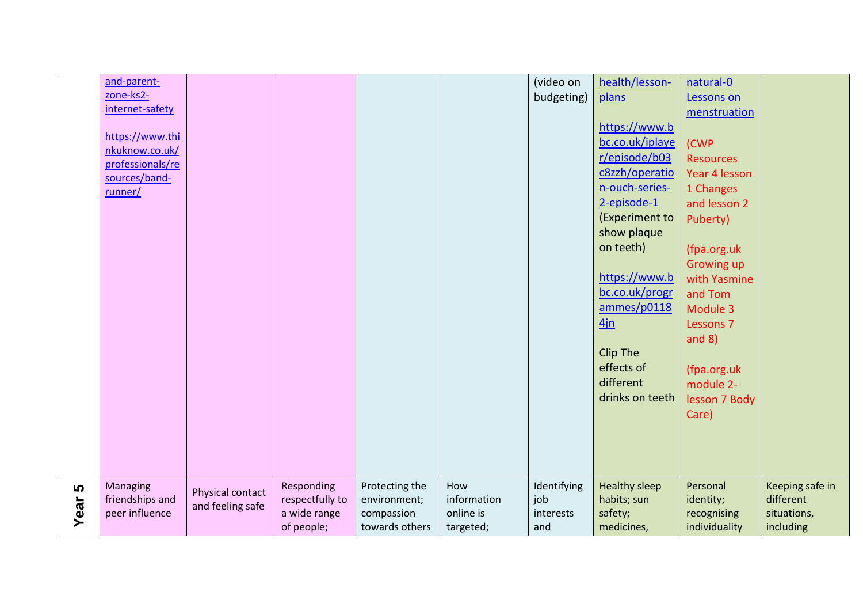|           | and-parent-<br>zone-ks2-<br>internet-safety<br>https://www.thi<br>nkuknow.co.uk/<br>professionals/re<br>sources/band-<br>runner/ |                                      |                                                             |                                                                |                                              | (video on<br>budgeting)                | health/lesson-<br>plans<br>https://www.b<br>bc.co.uk/iplaye<br>r/episode/b03<br>c8zzh/operatio<br>n-ouch-series-<br>2-episode-1<br>(Experiment to<br>show plaque<br>on teeth)<br>https://www.b<br>bc.co.uk/progr<br>ammes/p0118<br>4in<br>Clip The<br>effects of<br>different<br>drinks on teeth | natural-0<br>Lessons on<br>menstruation<br>(CWP<br><b>Resources</b><br>Year 4 lesson<br>1 Changes<br>and lesson 2<br>Puberty)<br>(fpa.org.uk<br><b>Growing up</b><br>with Yasmine<br>and Tom<br>Module 3<br>Lessons 7<br>and $8)$<br>(fpa.org.uk<br>module 2-<br>lesson 7 Body<br>Care) |                                                          |
|-----------|----------------------------------------------------------------------------------------------------------------------------------|--------------------------------------|-------------------------------------------------------------|----------------------------------------------------------------|----------------------------------------------|----------------------------------------|--------------------------------------------------------------------------------------------------------------------------------------------------------------------------------------------------------------------------------------------------------------------------------------------------|-----------------------------------------------------------------------------------------------------------------------------------------------------------------------------------------------------------------------------------------------------------------------------------------|----------------------------------------------------------|
| 5<br>Year | Managing<br>friendships and<br>peer influence                                                                                    | Physical contact<br>and feeling safe | Responding<br>respectfully to<br>a wide range<br>of people; | Protecting the<br>environment;<br>compassion<br>towards others | How<br>information<br>online is<br>targeted; | Identifying<br>job<br>interests<br>and | <b>Healthy sleep</b><br>habits; sun<br>safety;<br>medicines,                                                                                                                                                                                                                                     | Personal<br>identity;<br>recognising<br>individuality                                                                                                                                                                                                                                   | Keeping safe in<br>different<br>situations,<br>including |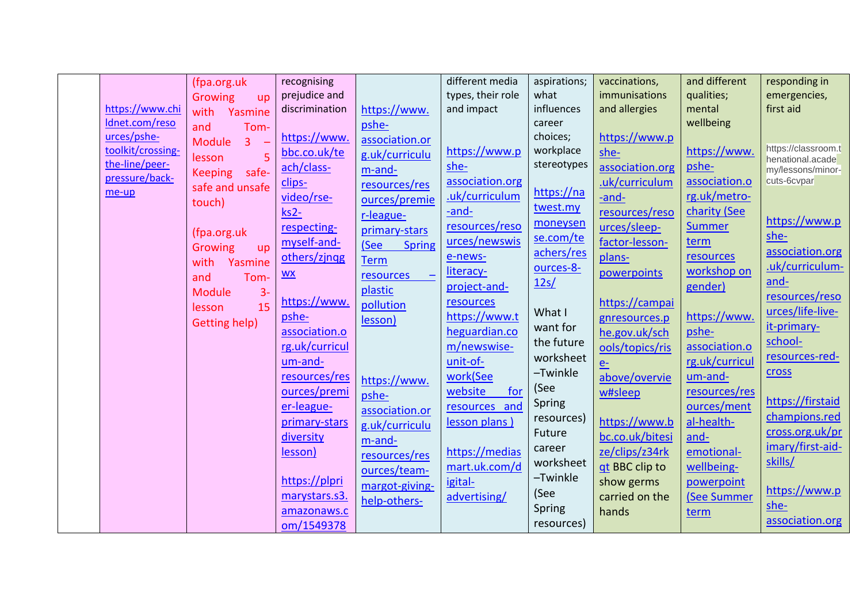|                   | (fpa.org.uk                     | recognising      |                                | different media   | aspirations; | vaccinations,   | and different  | responding in                         |
|-------------------|---------------------------------|------------------|--------------------------------|-------------------|--------------|-----------------|----------------|---------------------------------------|
|                   | <b>Growing</b><br>up            | prejudice and    |                                | types, their role | what         | immunisations   | qualities;     | emergencies,                          |
| https://www.chi   | with<br>Yasmine                 | discrimination   | https://www.                   | and impact        | influences   | and allergies   | mental         | first aid                             |
| Idnet.com/reso    | and<br>Tom-                     |                  | pshe-                          |                   | career       |                 | wellbeing      |                                       |
| urces/pshe-       | $\overline{3}$<br><b>Module</b> | https://www.     | association.or                 |                   | choices;     | https://www.p   |                |                                       |
| toolkit/crossing- | 5<br>lesson                     | bbc.co.uk/te     | g.uk/curriculu                 | https://www.p     | workplace    | she-            | https://www.   | https://classroom.t                   |
| the-line/peer-    | safe-                           | ach/class-       | m-and-                         | she-              | stereotypes  | association.org | pshe-          | henational.acade<br>my/lessons/minor- |
| pressure/back-    | <b>Keeping</b>                  | clips-           | resources/res                  | association.org   |              | .uk/curriculum  | association.o  | cuts-6cvpar                           |
| me-up             | safe and unsafe                 | video/rse-       | ources/premie                  | .uk/curriculum    | https://na   | -and-           | rg.uk/metro-   |                                       |
|                   | touch)                          | $ks2-$           |                                | -and-             | twest.my     | resources/reso  | charity (See   |                                       |
|                   |                                 | respecting-      | r-league-                      | resources/reso    | moneysen     | urces/sleep-    | <b>Summer</b>  | https://www.p                         |
|                   | (fpa.org.uk                     |                  | primary-stars                  | urces/newswis     | se.com/te    |                 | term           | she-                                  |
|                   | Growing<br>up                   | myself-and-      | (See<br><b>Spring</b>          |                   | achers/res   | factor-lesson-  |                | association.org                       |
|                   | with<br>Yasmine                 | others/zingg     | <b>Term</b>                    | e-news-           | ources-8-    | plans-          | resources      | .uk/curriculum-                       |
|                   | Tom-<br>and                     | $\underline{WX}$ | resources<br>$\qquad \qquad -$ | literacy-         | 12s/         | powerpoints     | workshop on    | and-                                  |
|                   | <b>Module</b><br>$3 -$          |                  | plastic                        | project-and-      |              |                 | gender)        | resources/reso                        |
|                   | 15<br>lesson                    | https://www.     | pollution                      | resources         | What I       | https://campai  |                | urces/life-live-                      |
|                   | Getting help)                   | pshe-            | lesson)                        | https://www.t     |              | gnresources.p   | https://www.   |                                       |
|                   |                                 | association.o    |                                | heguardian.co     | want for     | he.gov.uk/sch   | pshe-          | it-primary-                           |
|                   |                                 | rg.uk/curricul   |                                | m/newswise-       | the future   | ools/topics/ris | association.o  | school-                               |
|                   |                                 | um-and-          |                                | unit-of-          | worksheet    | $e-$            | rg.uk/curricul | resources-red-                        |
|                   |                                 | resources/res    | https://www.                   | work(See          | -Twinkle     | above/overvie   | um-and-        | cross                                 |
|                   |                                 | ources/premi     | pshe-                          | website<br>for    | (See         | w#sleep         | resources/res  |                                       |
|                   |                                 | er-league-       | association.or                 | resources and     | Spring       |                 | ources/ment    | https://firstaid                      |
|                   |                                 | primary-stars    | g.uk/curriculu                 | lesson plans)     | resources)   | https://www.b   | al-health-     | champions.red                         |
|                   |                                 | diversity        | m-and-                         |                   | Future       | bc.co.uk/bitesi | and-           | cross.org.uk/pr                       |
|                   |                                 | lesson)          |                                | https://medias    | career       | ze/clips/z34rk  | emotional-     | imary/first-aid-                      |
|                   |                                 |                  | resources/res                  | mart.uk.com/d     | worksheet    | gt BBC clip to  | wellbeing-     | skills/                               |
|                   |                                 | https://plpri    | ources/team-                   | igital-           | -Twinkle     | show germs      | powerpoint     |                                       |
|                   |                                 | marystars.s3.    | margot-giving-                 |                   | (See         | carried on the  | (See Summer    | https://www.p                         |
|                   |                                 |                  | help-others-                   | advertising/      | Spring       |                 |                | she-                                  |
|                   |                                 | amazonaws.c      |                                |                   | resources)   | hands           | term           | association.org                       |
|                   |                                 | om/1549378       |                                |                   |              |                 |                |                                       |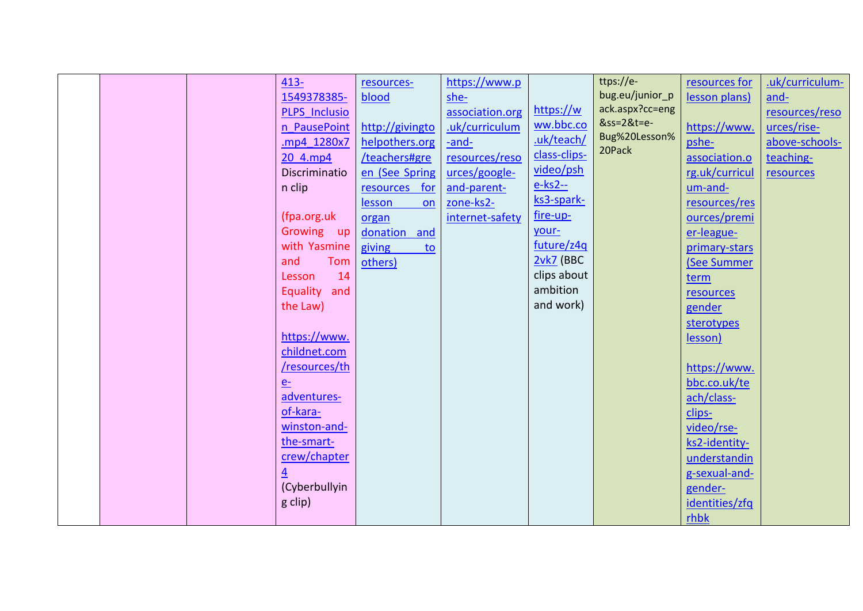|  |  |  | $413 -$<br>1549378385-<br><b>PLPS Inclusio</b><br>n PausePoint<br>mp4 1280x7<br>20 4.mp4<br>Discriminatio<br>n clip<br>(fpa.org.uk<br>Growing up<br>with Yasmine<br>Tom<br>and<br>14<br>Lesson<br>Equality<br>and<br>the Law)<br>https://www.<br>childnet.com<br>/resources/th<br>e <sub>z</sub><br>adventures-<br>of-kara-<br>winston-and-<br>the-smart-<br>crew/chapter<br>$\overline{4}$<br>(Cyberbullyin<br>g clip) | resources-<br>blood<br>http://givingto<br>helpothers.org<br>/teachers#gre<br>en (See Spring<br>resources for<br><b>lesson</b><br>on<br>organ<br>donation and<br>giving<br>to<br>others) | https://www.p<br>she-<br>association.org<br>.uk/curriculum<br>-and-<br>resources/reso<br>urces/google-<br>and-parent-<br>zone-ks2-<br>internet-safety | https://w<br>ww.bbc.co<br>.uk/teach/<br>class-clips-<br>video/psh<br>$e$ -ks2--<br>ks3-spark-<br>fire-up-<br>your-<br>future/z4q<br>$2vk7$ (BBC<br>clips about<br>ambition<br>and work) | ttps://e-<br>bug.eu/junior_p<br>ack.aspx?cc=eng<br>&ss=2&t=e-<br>Bug%20Lesson%<br>20Pack | resources for<br>lesson plans)<br>https://www.<br>pshe-<br>association.o<br>rg.uk/curricul<br>um-and-<br>resources/res<br>ources/premi<br>er-league-<br>primary-stars<br>(See Summer<br>term<br>resources<br>gender<br>sterotypes<br>lesson)<br>https://www.<br>bbc.co.uk/te<br>ach/class-<br>clips-<br>video/rse-<br>ks2-identity-<br>understandin<br>g-sexual-and-<br>gender-<br>identities/zfq<br>rhbk | .uk/curriculum-<br>and-<br>resources/reso<br>urces/rise-<br>above-schools-<br>teaching-<br>resources |
|--|--|--|-------------------------------------------------------------------------------------------------------------------------------------------------------------------------------------------------------------------------------------------------------------------------------------------------------------------------------------------------------------------------------------------------------------------------|-----------------------------------------------------------------------------------------------------------------------------------------------------------------------------------------|-------------------------------------------------------------------------------------------------------------------------------------------------------|-----------------------------------------------------------------------------------------------------------------------------------------------------------------------------------------|------------------------------------------------------------------------------------------|-----------------------------------------------------------------------------------------------------------------------------------------------------------------------------------------------------------------------------------------------------------------------------------------------------------------------------------------------------------------------------------------------------------|------------------------------------------------------------------------------------------------------|
|--|--|--|-------------------------------------------------------------------------------------------------------------------------------------------------------------------------------------------------------------------------------------------------------------------------------------------------------------------------------------------------------------------------------------------------------------------------|-----------------------------------------------------------------------------------------------------------------------------------------------------------------------------------------|-------------------------------------------------------------------------------------------------------------------------------------------------------|-----------------------------------------------------------------------------------------------------------------------------------------------------------------------------------------|------------------------------------------------------------------------------------------|-----------------------------------------------------------------------------------------------------------------------------------------------------------------------------------------------------------------------------------------------------------------------------------------------------------------------------------------------------------------------------------------------------------|------------------------------------------------------------------------------------------------------|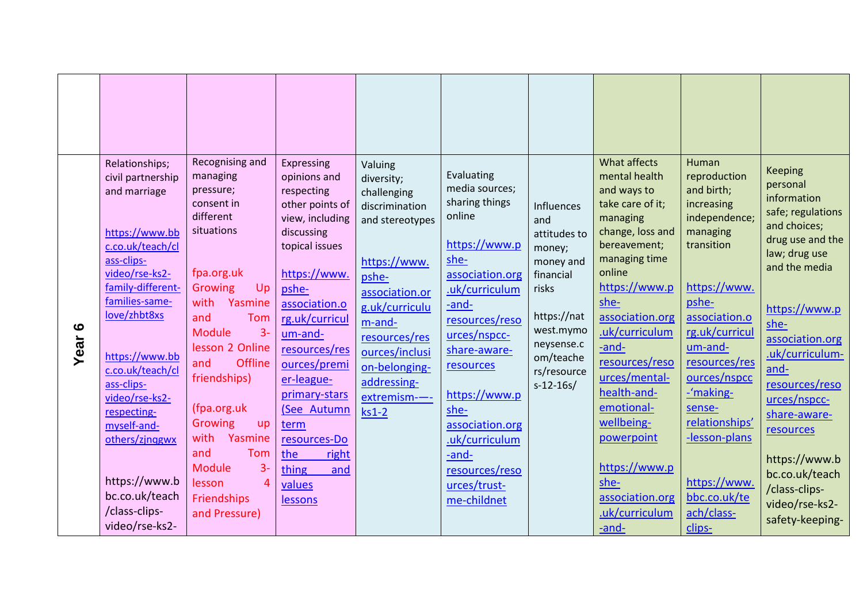|                          |                                                                                                                                                                                                                                                                                                                                                                              | Recognising and                                                                                                                                                                                                                                                                                                                           |                                                                                                                                                                                                                                                                                                                                                   |                                                                                                                                                                                                                                                  |                                                                                                                                                                                                                                                                                                                        |                                                                                                                                                                     | What affects                                                                                                                                                                                                                                                                                                                                                            | Human                                                                                                                                                                                                                                                                                                         |                                                                                                                                                                                                                                                                                                                                                                     |
|--------------------------|------------------------------------------------------------------------------------------------------------------------------------------------------------------------------------------------------------------------------------------------------------------------------------------------------------------------------------------------------------------------------|-------------------------------------------------------------------------------------------------------------------------------------------------------------------------------------------------------------------------------------------------------------------------------------------------------------------------------------------|---------------------------------------------------------------------------------------------------------------------------------------------------------------------------------------------------------------------------------------------------------------------------------------------------------------------------------------------------|--------------------------------------------------------------------------------------------------------------------------------------------------------------------------------------------------------------------------------------------------|------------------------------------------------------------------------------------------------------------------------------------------------------------------------------------------------------------------------------------------------------------------------------------------------------------------------|---------------------------------------------------------------------------------------------------------------------------------------------------------------------|-------------------------------------------------------------------------------------------------------------------------------------------------------------------------------------------------------------------------------------------------------------------------------------------------------------------------------------------------------------------------|---------------------------------------------------------------------------------------------------------------------------------------------------------------------------------------------------------------------------------------------------------------------------------------------------------------|---------------------------------------------------------------------------------------------------------------------------------------------------------------------------------------------------------------------------------------------------------------------------------------------------------------------------------------------------------------------|
| $\mathbf{\circ}$<br>Year | Relationships;<br>civil partnership<br>and marriage<br>https://www.bb<br>c.co.uk/teach/cl<br>ass-clips-<br>video/rse-ks2-<br>family-different-<br>families-same-<br>love/zhbt8xs<br>https://www.bb<br>c.co.uk/teach/cl<br>ass-clips-<br>video/rse-ks2-<br>respecting-<br>myself-and-<br>others/zjnggwx<br>https://www.b<br>bc.co.uk/teach<br>/class-clips-<br>video/rse-ks2- | managing<br>pressure;<br>consent in<br>different<br>situations<br>fpa.org.uk<br>Growing<br>Up<br>with<br>Yasmine<br>and<br>Tom<br>Module<br>$3-$<br>lesson 2 Online<br><b>Offline</b><br>and<br>friendships)<br>(fpa.org.uk<br>Growing<br>up<br>with<br>Yasmine<br>and<br>Tom<br>Module<br>$3-$<br>lesson<br>Friendships<br>and Pressure) | Expressing<br>opinions and<br>respecting<br>other points of<br>view, including<br>discussing<br>topical issues<br>https://www.<br>pshe-<br>association.o<br>rg.uk/curricul<br>um-and-<br>resources/res<br>ources/premi<br>er-league-<br>primary-stars<br>(See Autumn<br>term<br>resources-Do<br>the<br>right<br>thing<br>and<br>values<br>lessons | Valuing<br>diversity;<br>challenging<br>discrimination<br>and stereotypes<br>https://www.<br>pshe-<br>association.or<br>g.uk/curriculu<br>$m$ -and-<br>resources/res<br>ources/inclusi<br>on-belonging-<br>addressing-<br>extremism--<br>$ks1-2$ | Evaluating<br>media sources;<br>sharing things<br>online<br>https://www.p<br>she-<br>association.org<br>.uk/curriculum<br>-and-<br>resources/reso<br>urces/nspcc-<br>share-aware-<br>resources<br>https://www.p<br>she-<br>association.org<br>.uk/curriculum<br>-and-<br>resources/reso<br>urces/trust-<br>me-childnet | Influences<br>and<br>attitudes to<br>money;<br>money and<br>financial<br>risks<br>https://nat<br>west.mymo<br>neysense.c<br>om/teache<br>rs/resource<br>$s-12-16s/$ | mental health<br>and ways to<br>take care of it;<br>managing<br>change, loss and<br>bereavement;<br>managing time<br>online<br>https://www.p<br>$she-$<br>association.org<br>.uk/curriculum<br>-and-<br>resources/reso<br>urces/mental-<br>health-and-<br>emotional-<br>wellbeing-<br>powerpoint<br>https://www.p<br>she-<br>association.org<br>.uk/curriculum<br>-and- | reproduction<br>and birth;<br>increasing<br>independence;<br>managing<br>transition<br>https://www.<br>pshe-<br>association.o<br>rg.uk/curricul<br>um-and-<br>resources/res<br>ources/nspcc<br>-'making-<br>sense-<br>relationships'<br>-lesson-plans<br>https://www.<br>bbc.co.uk/te<br>ach/class-<br>clips- | <b>Keeping</b><br>personal<br>information<br>safe; regulations<br>and choices;<br>drug use and the<br>law; drug use<br>and the media<br>https://www.p<br>she-<br>association.org<br>.uk/curriculum-<br>and-<br>resources/reso<br>urces/nspcc-<br>share-aware-<br>resources<br>https://www.b<br>bc.co.uk/teach<br>/class-clips-<br>video/rse-ks2-<br>safety-keeping- |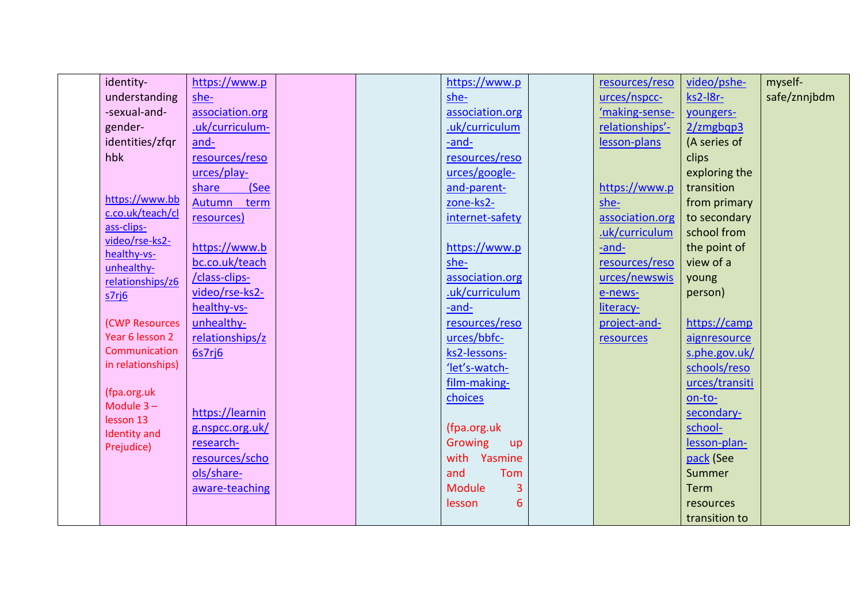| identity-                    | https://www.p   |  | https://www.p        | resources/reso  | video/pshe-        | myself-      |
|------------------------------|-----------------|--|----------------------|-----------------|--------------------|--------------|
| understanding                | she-            |  | she-                 | urces/nspcc-    | ks2-l8r-           | safe/znnjbdm |
| -sexual-and-                 | association.org |  | association.org      | 'making-sense-  | youngers-          |              |
| gender-                      | .uk/curriculum- |  | .uk/curriculum       | relationships'- | $2/\text{zmgbqp3}$ |              |
| identities/zfqr              | and-            |  | -and-                | lesson-plans    | (A series of       |              |
| hbk                          | resources/reso  |  | resources/reso       |                 | clips              |              |
|                              | urces/play-     |  | urces/google-        |                 | exploring the      |              |
|                              | (See<br>share   |  | and-parent-          | https://www.p   | transition         |              |
| https://www.bb               | Autumn<br>term  |  | zone-ks2-            | she-            | from primary       |              |
| c.co.uk/teach/cl             | resources)      |  | internet-safety      | association.org | to secondary       |              |
| ass-clips-<br>video/rse-ks2- |                 |  |                      | .uk/curriculum  | school from        |              |
| healthy-vs-                  | https://www.b   |  | https://www.p        | -and-           | the point of       |              |
| unhealthy-                   | bc.co.uk/teach  |  | she-                 | resources/reso  | view of a          |              |
| relationships/z6             | /class-clips-   |  | association.org      | urces/newswis   | young              |              |
| s7rj6                        | video/rse-ks2-  |  | .uk/curriculum       | e-news-         | person)            |              |
|                              | healthy-vs-     |  | -and-                | literacy-       |                    |              |
| (CWP Resources               | unhealthy-      |  | resources/reso       | project-and-    | https://camp       |              |
| Year 6 lesson 2              | relationships/z |  | urces/bbfc-          | resources       | aignresource       |              |
| Communication                | 6s7rj6          |  | ks2-lessons-         |                 | s.phe.gov.uk/      |              |
| in relationships)            |                 |  | 'let's-watch-        |                 | schools/reso       |              |
|                              |                 |  | film-making-         |                 | urces/transiti     |              |
| (fpa.org.uk<br>Module $3 -$  |                 |  | choices              |                 | on-to-             |              |
| lesson 13                    | https://learnin |  |                      |                 | secondary-         |              |
| <b>Identity</b> and          | g.nspcc.org.uk/ |  | (fpa.org.uk          |                 | school-            |              |
| Prejudice)                   | research-       |  | Growing<br><b>up</b> |                 | lesson-plan-       |              |
|                              | resources/scho  |  | with Yasmine         |                 | pack (See          |              |
|                              | ols/share-      |  | and<br>Tom           |                 | Summer             |              |
|                              | aware-teaching  |  | <b>Module</b><br>3   |                 | Term               |              |
|                              |                 |  | 6<br>lesson          |                 | resources          |              |
|                              |                 |  |                      |                 | transition to      |              |